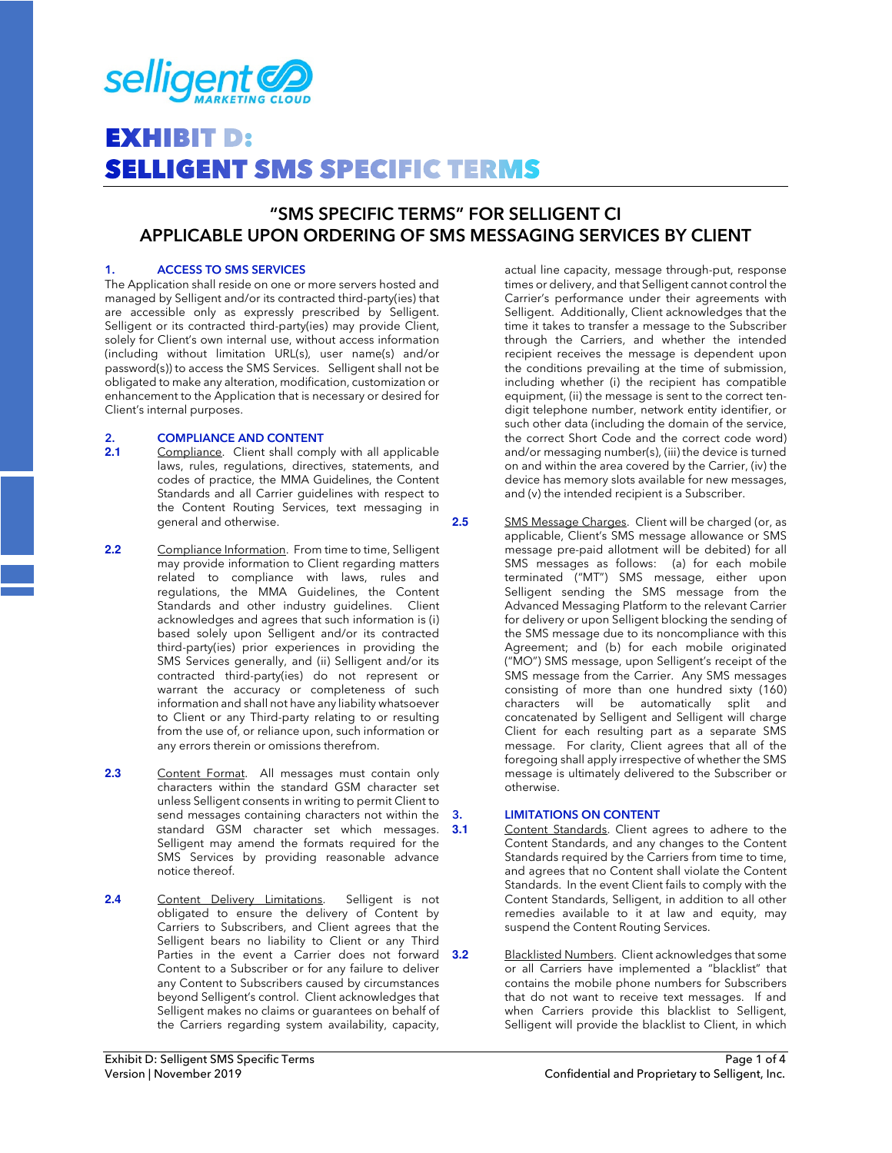

# **EXHIBIT D: SELLIGENT SMS SPECIFIC TERMS**

### **"SMS SPECIFIC TERMS" FOR SELLIGENT CI APPLICABLE UPON ORDERING OF SMS MESSAGING SERVICES BY CLIENT**

#### **1. ACCESS TO SMS SERVICES**

The Application shall reside on one or more servers hosted and managed by Selligent and/or its contracted third-party(ies) that are accessible only as expressly prescribed by Selligent. Selligent or its contracted third-party(ies) may provide Client, solely for Client's own internal use, without access information (including without limitation URL(s), user name(s) and/or password(s)) to access the SMS Services. Selligent shall not be obligated to make any alteration, modification, customization or enhancement to the Application that is necessary or desired for Client's internal purposes.

## 2. **COMPLIANCE AND CONTENT**<br>**2.1** Compliance. Client shall comp

- Compliance. Client shall comply with all applicable laws, rules, regulations, directives, statements, and codes of practice, the MMA Guidelines, the Content Standards and all Carrier guidelines with respect to the Content Routing Services, text messaging in general and otherwise.
- **2.2** Compliance Information. From time to time, Selligent may provide information to Client regarding matters related to compliance with laws, rules and regulations, the MMA Guidelines, the Content Standards and other industry guidelines. Client acknowledges and agrees that such information is (i) based solely upon Selligent and/or its contracted third-party(ies) prior experiences in providing the SMS Services generally, and (ii) Selligent and/or its contracted third-party(ies) do not represent or warrant the accuracy or completeness of such information and shall not have any liability whatsoever to Client or any Third-party relating to or resulting from the use of, or reliance upon, such information or any errors therein or omissions therefrom.
- 2.3 **Content Format.** All messages must contain only characters within the standard GSM character set unless Selligent consents in writing to permit Client to send messages containing characters not within the standard GSM character set which messages. 3.1 Selligent may amend the formats required for the SMS Services by providing reasonable advance notice thereof.
- 2.4 Content Delivery Limitations. Selligent is not obligated to ensure the delivery of Content by Carriers to Subscribers, and Client agrees that the Selligent bears no liability to Client or any Third Parties in the event a Carrier does not forward 3.2 Content to a Subscriber or for any failure to deliver any Content to Subscribers caused by circumstances beyond Selligent's control. Client acknowledges that Selligent makes no claims or guarantees on behalf of the Carriers regarding system availability, capacity,

actual line capacity, message through-put, response times or delivery, and that Selligent cannot control the Carrier's performance under their agreements with Selligent. Additionally, Client acknowledges that the time it takes to transfer a message to the Subscriber through the Carriers, and whether the intended recipient receives the message is dependent upon the conditions prevailing at the time of submission, including whether (i) the recipient has compatible equipment, (ii) the message is sent to the correct tendigit telephone number, network entity identifier, or such other data (including the domain of the service, the correct Short Code and the correct code word) and/or messaging number(s), (iii) the device is turned on and within the area covered by the Carrier, (iv) the device has memory slots available for new messages, and (v) the intended recipient is a Subscriber.

**2.5** SMS Message Charges. Client will be charged (or, as applicable, Client's SMS message allowance or SMS message pre-paid allotment will be debited) for all SMS messages as follows: (a) for each mobile terminated ("MT") SMS message, either upon Selligent sending the SMS message from the Advanced Messaging Platform to the relevant Carrier for delivery or upon Selligent blocking the sending of the SMS message due to its noncompliance with this Agreement; and (b) for each mobile originated ("MO") SMS message, upon Selligent's receipt of the SMS message from the Carrier. Any SMS messages consisting of more than one hundred sixty (160) characters will be automatically split and concatenated by Selligent and Selligent will charge Client for each resulting part as a separate SMS message. For clarity, Client agrees that all of the foregoing shall apply irrespective of whether the SMS message is ultimately delivered to the Subscriber or otherwise.

#### **3. LIMITATIONS ON CONTENT**

- Content Standards. Client agrees to adhere to the Content Standards, and any changes to the Content Standards required by the Carriers from time to time, and agrees that no Content shall violate the Content Standards. In the event Client fails to comply with the Content Standards, Selligent, in addition to all other remedies available to it at law and equity, may suspend the Content Routing Services.
- **3.2** Blacklisted Numbers. Client acknowledges that some or all Carriers have implemented a "blacklist" that contains the mobile phone numbers for Subscribers that do not want to receive text messages. If and when Carriers provide this blacklist to Selligent, Selligent will provide the blacklist to Client, in which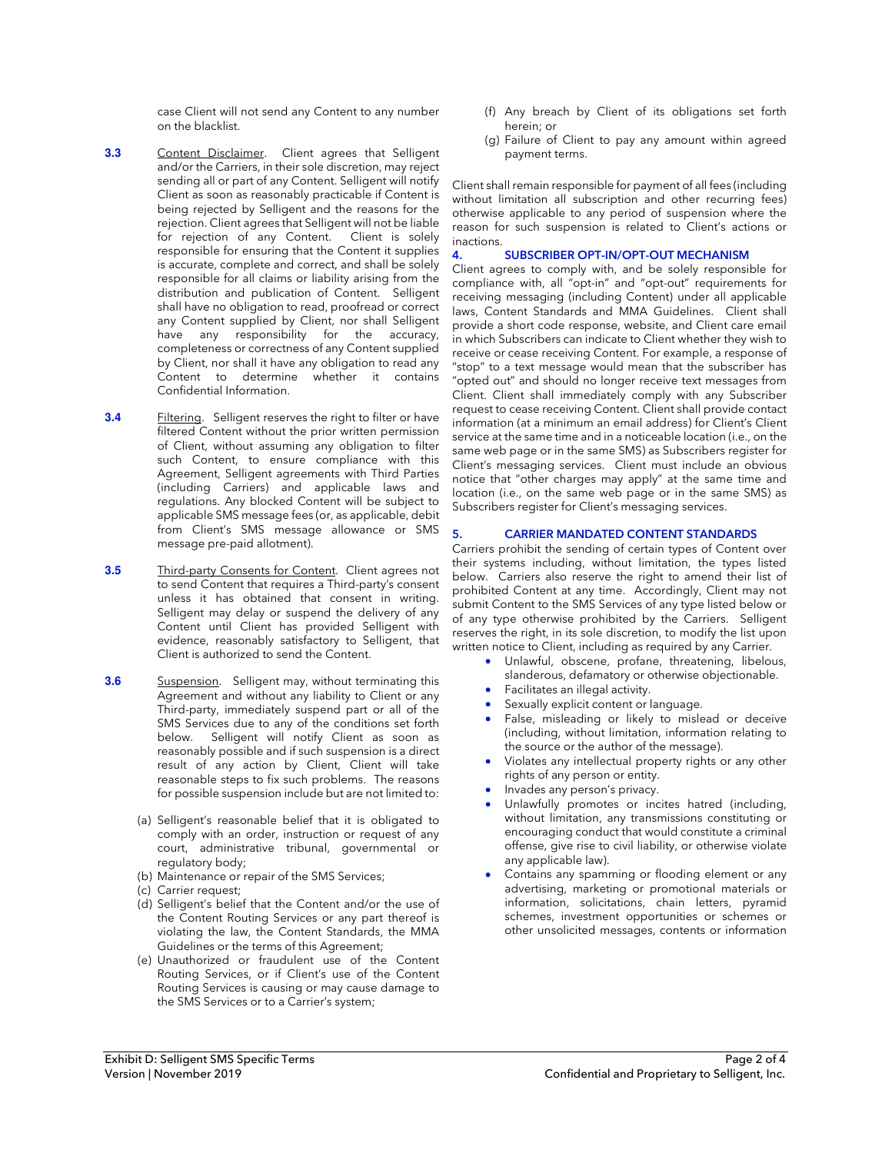case Client will not send any Content to any number on the blacklist.

- **3.3** Content Disclaimer. Client agrees that Selligent and/or the Carriers, in their sole discretion, may reject sending all or part of any Content. Selligent will notify Client as soon as reasonably practicable if Content is being rejected by Selligent and the reasons for the rejection. Client agrees that Selligent will not be liable for rejection of any Content. Client is solely responsible for ensuring that the Content it supplies is accurate, complete and correct, and shall be solely responsible for all claims or liability arising from the distribution and publication of Content. Selligent shall have no obligation to read, proofread or correct any Content supplied by Client, nor shall Selligent have any responsibility for the accuracy, completeness or correctness of any Content supplied by Client, nor shall it have any obligation to read any Content to determine whether it contains Confidential Information.
- **3.4 Filtering.** Selligent reserves the right to filter or have filtered Content without the prior written permission of Client, without assuming any obligation to filter such Content, to ensure compliance with this Agreement, Selligent agreements with Third Parties (including Carriers) and applicable laws and regulations. Any blocked Content will be subject to applicable SMS message fees (or, as applicable, debit from Client's SMS message allowance or SMS message pre-paid allotment).
- **3.5** Third-party Consents for Content. Client agrees not to send Content that requires a Third-party's consent unless it has obtained that consent in writing. Selligent may delay or suspend the delivery of any Content until Client has provided Selligent with evidence, reasonably satisfactory to Selligent, that Client is authorized to send the Content.
- **3.6 Suspension.** Selligent may, without terminating this Agreement and without any liability to Client or any Third-party, immediately suspend part or all of the SMS Services due to any of the conditions set forth below. Selligent will notify Client as soon as reasonably possible and if such suspension is a direct result of any action by Client, Client will take reasonable steps to fix such problems. The reasons for possible suspension include but are not limited to:
	- (a) Selligent's reasonable belief that it is obligated to comply with an order, instruction or request of any court, administrative tribunal, governmental or regulatory body;
	- (b) Maintenance or repair of the SMS Services;
	- (c) Carrier request;
	- (d) Selligent's belief that the Content and/or the use of the Content Routing Services or any part thereof is violating the law, the Content Standards, the MMA Guidelines or the terms of this Agreement;
	- (e) Unauthorized or fraudulent use of the Content Routing Services, or if Client's use of the Content Routing Services is causing or may cause damage to the SMS Services or to a Carrier's system;
- (f) Any breach by Client of its obligations set forth herein; or
- (g) Failure of Client to pay any amount within agreed payment terms.

Client shall remain responsible for payment of all fees (including without limitation all subscription and other recurring fees) otherwise applicable to any period of suspension where the reason for such suspension is related to Client's actions or inactions.

#### **4. SUBSCRIBER OPT-IN/OPT-OUT MECHANISM**

Client agrees to comply with, and be solely responsible for compliance with, all "opt-in" and "opt-out" requirements for receiving messaging (including Content) under all applicable laws, Content Standards and MMA Guidelines. Client shall provide a short code response, website, and Client care email in which Subscribers can indicate to Client whether they wish to receive or cease receiving Content. For example, a response of "stop" to a text message would mean that the subscriber has "opted out" and should no longer receive text messages from Client. Client shall immediately comply with any Subscriber request to cease receiving Content. Client shall provide contact information (at a minimum an email address) for Client's Client service at the same time and in a noticeable location (i.e., on the same web page or in the same SMS) as Subscribers register for Client's messaging services. Client must include an obvious notice that "other charges may apply" at the same time and location (i.e., on the same web page or in the same SMS) as Subscribers register for Client's messaging services.

#### **5. CARRIER MANDATED CONTENT STANDARDS**

Carriers prohibit the sending of certain types of Content over their systems including, without limitation, the types listed below. Carriers also reserve the right to amend their list of prohibited Content at any time. Accordingly, Client may not submit Content to the SMS Services of any type listed below or of any type otherwise prohibited by the Carriers. Selligent reserves the right, in its sole discretion, to modify the list upon written notice to Client, including as required by any Carrier.

- Unlawful, obscene, profane, threatening, libelous, slanderous, defamatory or otherwise objectionable.
	- Facilitates an illegal activity.
	- Sexually explicit content or language.
- False, misleading or likely to mislead or deceive (including, without limitation, information relating to the source or the author of the message).
- Violates any intellectual property rights or any other rights of any person or entity.
- Invades any person's privacy.
- Unlawfully promotes or incites hatred (including, without limitation, any transmissions constituting or encouraging conduct that would constitute a criminal offense, give rise to civil liability, or otherwise violate any applicable law).
- Contains any spamming or flooding element or any advertising, marketing or promotional materials or information, solicitations, chain letters, pyramid schemes, investment opportunities or schemes or other unsolicited messages, contents or information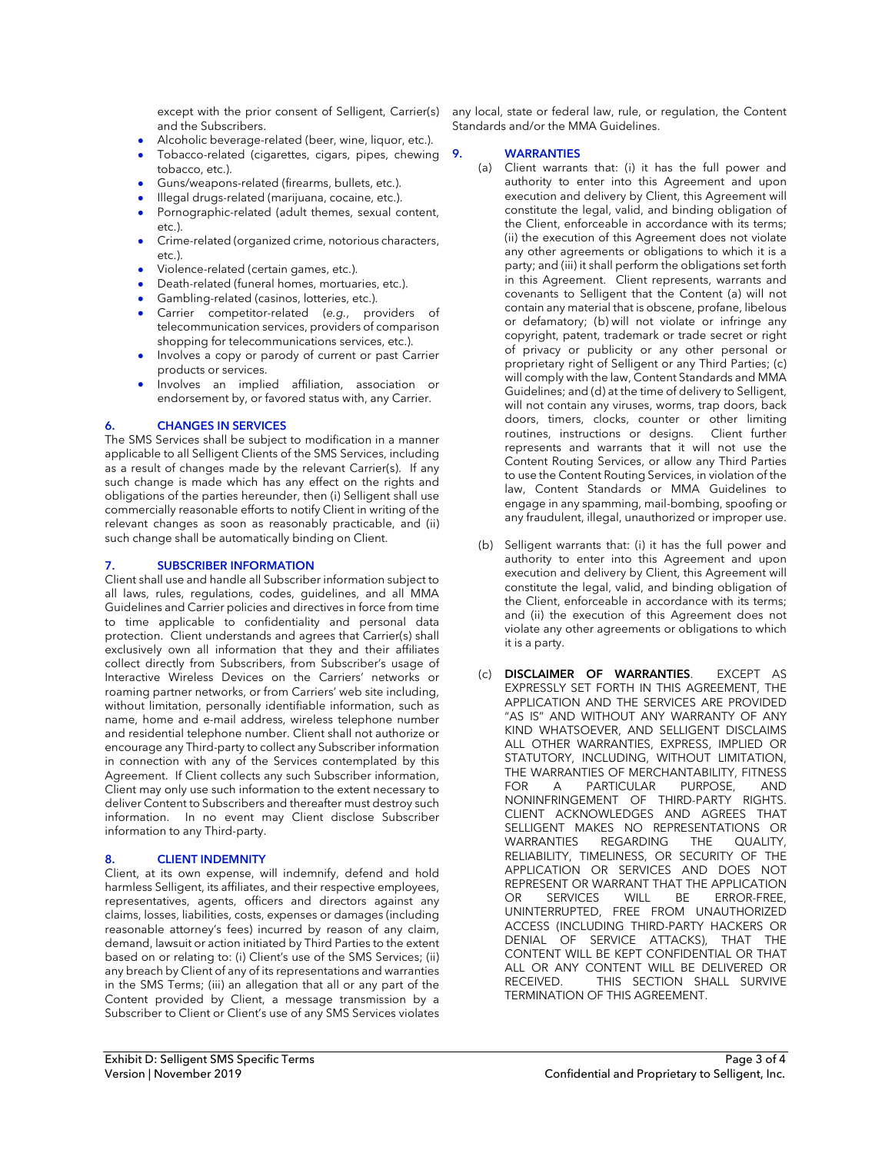and the Subscribers.

- Alcoholic beverage-related (beer, wine, liquor, etc.).
- Tobacco-related (cigarettes, cigars, pipes, chewing tobacco, etc.).
- Guns/weapons-related (firearms, bullets, etc.).
- Illegal drugs-related (marijuana, cocaine, etc.).
- Pornographic-related (adult themes, sexual content, etc.).
- Crime-related (organized crime, notorious characters, etc.).
- Violence-related (certain games, etc.).
- Death-related (funeral homes, mortuaries, etc.).
- Gambling-related (casinos, lotteries, etc.).
- Carrier competitor-related (*e.g.*, providers of telecommunication services, providers of comparison shopping for telecommunications services, etc.).
- Involves a copy or parody of current or past Carrier products or services.
- Involves an implied affiliation, association or endorsement by, or favored status with, any Carrier.

#### **6. CHANGES IN SERVICES**

The SMS Services shall be subject to modification in a manner applicable to all Selligent Clients of the SMS Services, including as a result of changes made by the relevant Carrier(s). If any such change is made which has any effect on the rights and obligations of the parties hereunder, then (i) Selligent shall use commercially reasonable efforts to notify Client in writing of the relevant changes as soon as reasonably practicable, and (ii) such change shall be automatically binding on Client.

#### **7. SUBSCRIBER INFORMATION**

Client shall use and handle all Subscriber information subject to all laws, rules, regulations, codes, guidelines, and all MMA Guidelines and Carrier policies and directives in force from time to time applicable to confidentiality and personal data protection. Client understands and agrees that Carrier(s) shall exclusively own all information that they and their affiliates collect directly from Subscribers, from Subscriber's usage of Interactive Wireless Devices on the Carriers' networks or roaming partner networks, or from Carriers' web site including, without limitation, personally identifiable information, such as name, home and e-mail address, wireless telephone number and residential telephone number. Client shall not authorize or encourage any Third-party to collect any Subscriber information in connection with any of the Services contemplated by this Agreement. If Client collects any such Subscriber information, Client may only use such information to the extent necessary to deliver Content to Subscribers and thereafter must destroy such information. In no event may Client disclose Subscriber information to any Third-party.

#### **8. CLIENT INDEMNITY**

Client, at its own expense, will indemnify, defend and hold harmless Selligent, its affiliates, and their respective employees, representatives, agents, officers and directors against any claims, losses, liabilities, costs, expenses or damages (including reasonable attorney's fees) incurred by reason of any claim, demand, lawsuit or action initiated by Third Parties to the extent based on or relating to: (i) Client's use of the SMS Services; (ii) any breach by Client of any of its representations and warranties in the SMS Terms; (iii) an allegation that all or any part of the Content provided by Client, a message transmission by a Subscriber to Client or Client's use of any SMS Services violates

except with the prior consent of Selligent, Carrier(s) any local, state or federal law, rule, or regulation, the Content Standards and/or the MMA Guidelines.

#### **9. WARRANTIES**

- (a) Client warrants that: (i) it has the full power and authority to enter into this Agreement and upon execution and delivery by Client, this Agreement will constitute the legal, valid, and binding obligation of the Client, enforceable in accordance with its terms; (ii) the execution of this Agreement does not violate any other agreements or obligations to which it is a party; and (iii) it shall perform the obligations set forth in this Agreement. Client represents, warrants and covenants to Selligent that the Content (a) will not contain any material that is obscene, profane, libelous or defamatory; (b) will not violate or infringe any copyright, patent, trademark or trade secret or right of privacy or publicity or any other personal or proprietary right of Selligent or any Third Parties; (c) will comply with the law, Content Standards and MMA Guidelines; and (d) at the time of delivery to Selligent, will not contain any viruses, worms, trap doors, back doors, timers, clocks, counter or other limiting routines, instructions or designs. Client further represents and warrants that it will not use the Content Routing Services, or allow any Third Parties to use the Content Routing Services, in violation of the law, Content Standards or MMA Guidelines to engage in any spamming, mail-bombing, spoofing or any fraudulent, illegal, unauthorized or improper use.
- (b) Selligent warrants that: (i) it has the full power and authority to enter into this Agreement and upon execution and delivery by Client, this Agreement will constitute the legal, valid, and binding obligation of the Client, enforceable in accordance with its terms; and (ii) the execution of this Agreement does not violate any other agreements or obligations to which it is a party.
- (c) **DISCLAIMER OF WARRANTIES**. EXCEPT AS EXPRESSLY SET FORTH IN THIS AGREEMENT, THE APPLICATION AND THE SERVICES ARE PROVIDED "AS IS" AND WITHOUT ANY WARRANTY OF ANY KIND WHATSOEVER, AND SELLIGENT DISCLAIMS ALL OTHER WARRANTIES, EXPRESS, IMPLIED OR STATUTORY, INCLUDING, WITHOUT LIMITATION, THE WARRANTIES OF MERCHANTABILITY, FITNESS FOR A PARTICULAR PURPOSE, AND NONINFRINGEMENT OF THIRD-PARTY RIGHTS. CLIENT ACKNOWLEDGES AND AGREES THAT SELLIGENT MAKES NO REPRESENTATIONS OR WARRANTIES REGARDING THE QUALITY, RELIABILITY, TIMELINESS, OR SECURITY OF THE APPLICATION OR SERVICES AND DOES NOT REPRESENT OR WARRANT THAT THE APPLICATION OR SERVICES WILL BE ERROR-FREE, UNINTERRUPTED, FREE FROM UNAUTHORIZED ACCESS (INCLUDING THIRD-PARTY HACKERS OR DENIAL OF SERVICE ATTACKS), THAT THE CONTENT WILL BE KEPT CONFIDENTIAL OR THAT ALL OR ANY CONTENT WILL BE DELIVERED OR RECEIVED. THIS SECTION SHALL SURVIVE TERMINATION OF THIS AGREEMENT.